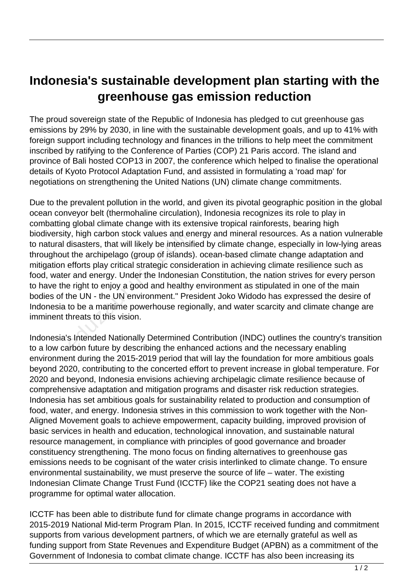## **Indonesia's sustainable development plan starting with the greenhouse gas emission reduction**

The proud sovereign state of the Republic of Indonesia has pledged to cut greenhouse gas emissions by 29% by 2030, in line with the sustainable development goals, and up to 41% with foreign support including technology and finances in the trillions to help meet the commitment inscribed by ratifying to the Conference of Parties (COP) 21 Paris accord. The island and province of Bali hosted COP13 in 2007, the conference which helped to finalise the operational details of Kyoto Protocol Adaptation Fund, and assisted in formulating a 'road map' for negotiations on strengthening the United Nations (UN) climate change commitments.

Due to the prevalent pollution in the world, and given its pivotal geographic position in the global ocean conveyor belt (thermohaline circulation), Indonesia recognizes its role to play in combatting global climate change with its extensive tropical rainforests, bearing high biodiversity, high carbon stock values and energy and mineral resources. As a nation vulnerable to natural disasters, that will likely be intensified by climate change, especially in low-lying areas throughout the archipelago (group of islands). ocean-based climate change adaptation and mitigation efforts play critical strategic consideration in achieving climate resilience such as food, water and energy. Under the Indonesian Constitution, the nation strives for every person to have the right to enjoy a good and healthy environment as stipulated in one of the main bodies of the UN - the UN environment." President Joko Widodo has expressed the desire of Indonesia to be a maritime powerhouse regionally, and water scarcity and climate change are imminent threats to this vision. y, high carbon stock values and el<br>disasters, that will likely be intensit<br>t the archipelago (group of islands<br>efforts play critical strategic consic<br>r and energy. Under the Indonesia<br>e right to enjoy a good and healthy<br>he

Indonesia's Intended Nationally Determined Contribution (INDC) outlines the country's transition to a low carbon future by describing the enhanced actions and the necessary enabling environment during the 2015-2019 period that will lay the foundation for more ambitious goals beyond 2020, contributing to the concerted effort to prevent increase in global temperature. For 2020 and beyond, Indonesia envisions achieving archipelagic climate resilience because of comprehensive adaptation and mitigation programs and disaster risk reduction strategies. Indonesia has set ambitious goals for sustainability related to production and consumption of food, water, and energy. Indonesia strives in this commission to work together with the Non-Aligned Movement goals to achieve empowerment, capacity building, improved provision of basic services in health and education, technological innovation, and sustainable natural resource management, in compliance with principles of good governance and broader constituency strengthening. The mono focus on finding alternatives to greenhouse gas emissions needs to be cognisant of the water crisis interlinked to climate change. To ensure environmental sustainability, we must preserve the source of life – water. The existing Indonesian Climate Change Trust Fund (ICCTF) like the COP21 seating does not have a programme for optimal water allocation.

ICCTF has been able to distribute fund for climate change programs in accordance with 2015-2019 National Mid-term Program Plan. In 2015, ICCTF received funding and commitment supports from various development partners, of which we are eternally grateful as well as funding support from State Revenues and Expenditure Budget (APBN) as a commitment of the Government of Indonesia to combat climate change. ICCTF has also been increasing its